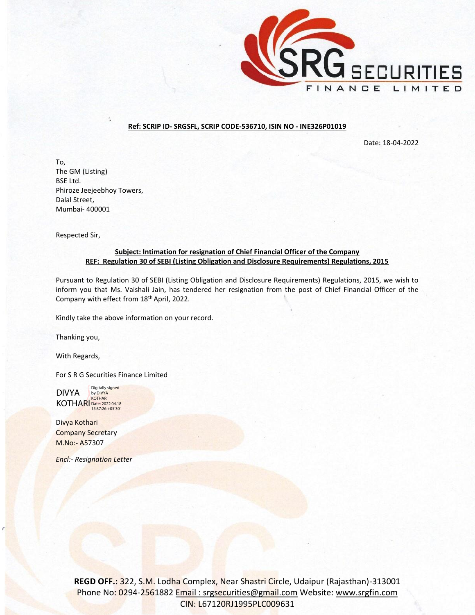

## **Ref: SCRIP ID- SRGSFL, SCRIP CODE-536710, ISIN NO - INE326P01019**

Date: 18-04-2022

To, The GM (Listing) BSE Ltd. Phiroze Jeejeebhoy Towers, Dalal Street, Mumbai- 400001

Respected Sir,

## **Subject: Intimation for resignation of Chief Financial Officer of the Company REF: Regulation 30 of SEBI (Listing Obligation and Disclosure Requirements) Regulations, 2015**

Pursuant to Regulation 30 of SEBI (Listing Obligation and Disclosure Requirements) Regulations, 2015, we wish to inform you that Ms. Vaishali Jain, has tendered her resignation from the post of Chief Financial Officer of the Company with effect from 18th April, 2022.

Kindly take the above information on your record.

Thanking you,

With Regards,

For S R G Securities Finance Limited

DIVYA KOTHARI Date: 2022.04.18 Digitally signed by DIVYA KOTHARI

Divya Kothari Company Secretary M.No:- A57307

*Encl:- Resignation Letter*

**REGD OFF.:** 322, S.M. Lodha Complex, Near Shastri Circle, Udaipur (Rajasthan)-313001 Phone No: 0294-2561882 Email: srgsecurities@gmail.com Website: [www.srgfin.com](http://www.srgfin.com/) CIN: L67120RJ1995PLC009631